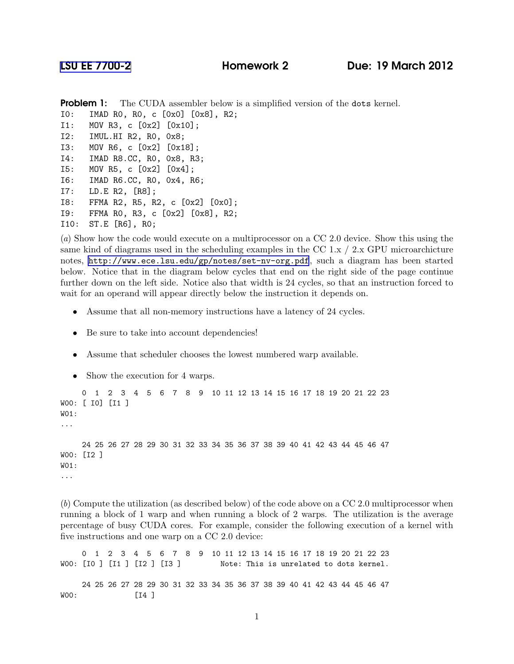```
Problem 1: The CUDA assembler below is a simplified version of the dots kernel.
I0: IMAD R0, R0, c [0x0] [0x8], R2;
I1: MOV R3, c [0x2] [0x10];
I2: IMUL.HI R2, R0, 0x8;
I3: MOV R6, c [0x2] [0x18];
I4: IMAD R8.CC, R0, 0x8, R3;
I5: MOV R5, c [0x2] [0x4];
I6: IMAD R6.CC, R0, 0x4, R6;
I7: LD.E R2, [R8];
I8: FFMA R2, R5, R2, c [0x2] [0x0];
I9: FFMA R0, R3, c [0x2] [0x8], R2;
I10: ST.E [R6], R0;
```
(*a*) Show how the code would execute on a multiprocessor on a CC 2.0 device. Show this using the same kind of diagrams used in the scheduling examples in the CC 1.x  $/$  2.x GPU microarchicture notes, <http://www.ece.lsu.edu/gp/notes/set-nv-org.pdf>, such a diagram has been started below. Notice that in the diagram below cycles that end on the right side of the page continue further down on the left side. Notice also that width is 24 cycles, so that an instruction forced to wait for an operand will appear directly below the instruction it depends on.

- Assume that all non-memory instructions have a latency of 24 cycles.
- Be sure to take into account dependencies!
- Assume that scheduler chooses the lowest numbered warp available.
- Show the execution for 4 warps.

```
0 1 2 3 4 5 6 7 8 9 10 11 12 13 14 15 16 17 18 19 20 21 22 23
W00: [ I0] [I1 ]
W01:
...
     24 25 26 27 28 29 30 31 32 33 34 35 36 37 38 39 40 41 42 43 44 45 46 47
W00: [I2 ]
W01:
...
```
(*b*) Compute the utilization (as described below) of the code above on a CC 2.0 multiprocessor when running a block of 1 warp and when running a block of 2 warps. The utilization is the average percentage of busy CUDA cores. For example, consider the following execution of a kernel with five instructions and one warp on a CC 2.0 device:

0 1 2 3 4 5 6 7 8 9 10 11 12 13 14 15 16 17 18 19 20 21 22 23 W00: [I0 ] [I1 ] [I2 ] [I3 ] Note: This is unrelated to dots kernel. 24 25 26 27 28 29 30 31 32 33 34 35 36 37 38 39 40 41 42 43 44 45 46 47 W00: [I4 ]